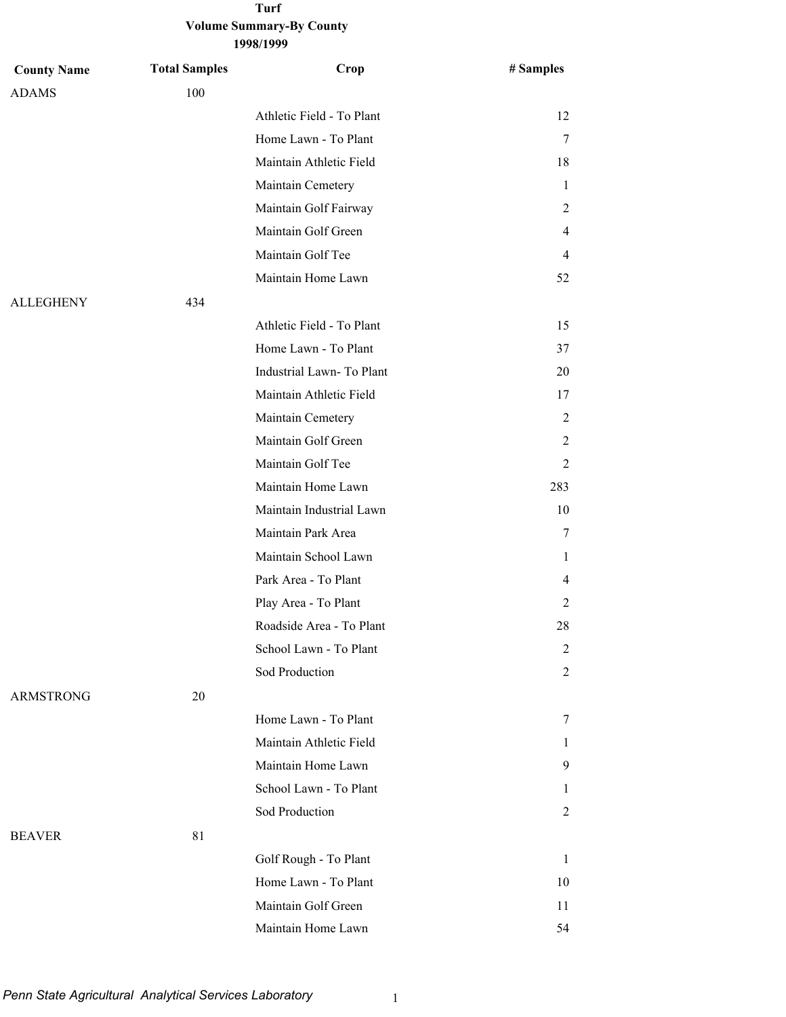| <b>County Name</b> | <b>Total Samples</b> | Crop                      | # Samples    |
|--------------------|----------------------|---------------------------|--------------|
| <b>ADAMS</b>       | 100                  |                           |              |
|                    |                      | Athletic Field - To Plant | 12           |
|                    |                      | Home Lawn - To Plant      | 7            |
|                    |                      | Maintain Athletic Field   | 18           |
|                    |                      | Maintain Cemetery         | 1            |
|                    |                      | Maintain Golf Fairway     | 2            |
|                    |                      | Maintain Golf Green       | 4            |
|                    |                      | Maintain Golf Tee         | 4            |
|                    |                      | Maintain Home Lawn        | 52           |
| <b>ALLEGHENY</b>   | 434                  |                           |              |
|                    |                      | Athletic Field - To Plant | 15           |
|                    |                      | Home Lawn - To Plant      | 37           |
|                    |                      | Industrial Lawn- To Plant | 20           |
|                    |                      | Maintain Athletic Field   | 17           |
|                    |                      | Maintain Cemetery         | 2            |
|                    |                      | Maintain Golf Green       | 2            |
|                    |                      | Maintain Golf Tee         | 2            |
|                    |                      | Maintain Home Lawn        | 283          |
|                    |                      | Maintain Industrial Lawn  | 10           |
|                    |                      | Maintain Park Area        | 7            |
|                    |                      | Maintain School Lawn      | 1            |
|                    |                      | Park Area - To Plant      | 4            |
|                    |                      | Play Area - To Plant      | 2            |
|                    |                      | Roadside Area - To Plant  | 28           |
|                    |                      | School Lawn - To Plant    | 2            |
|                    |                      | Sod Production            | 2            |
| <b>ARMSTRONG</b>   | 20                   |                           |              |
|                    |                      | Home Lawn - To Plant      | 7            |
|                    |                      | Maintain Athletic Field   | $\mathbf{I}$ |
|                    |                      | Maintain Home Lawn        | 9            |
|                    |                      | School Lawn - To Plant    | $\mathbf{I}$ |
|                    |                      | Sod Production            | 2            |
| <b>BEAVER</b>      | 81                   |                           |              |
|                    |                      | Golf Rough - To Plant     | $\mathbf{1}$ |
|                    |                      | Home Lawn - To Plant      | 10           |
|                    |                      | Maintain Golf Green       | 11           |
|                    |                      | Maintain Home Lawn        | 54           |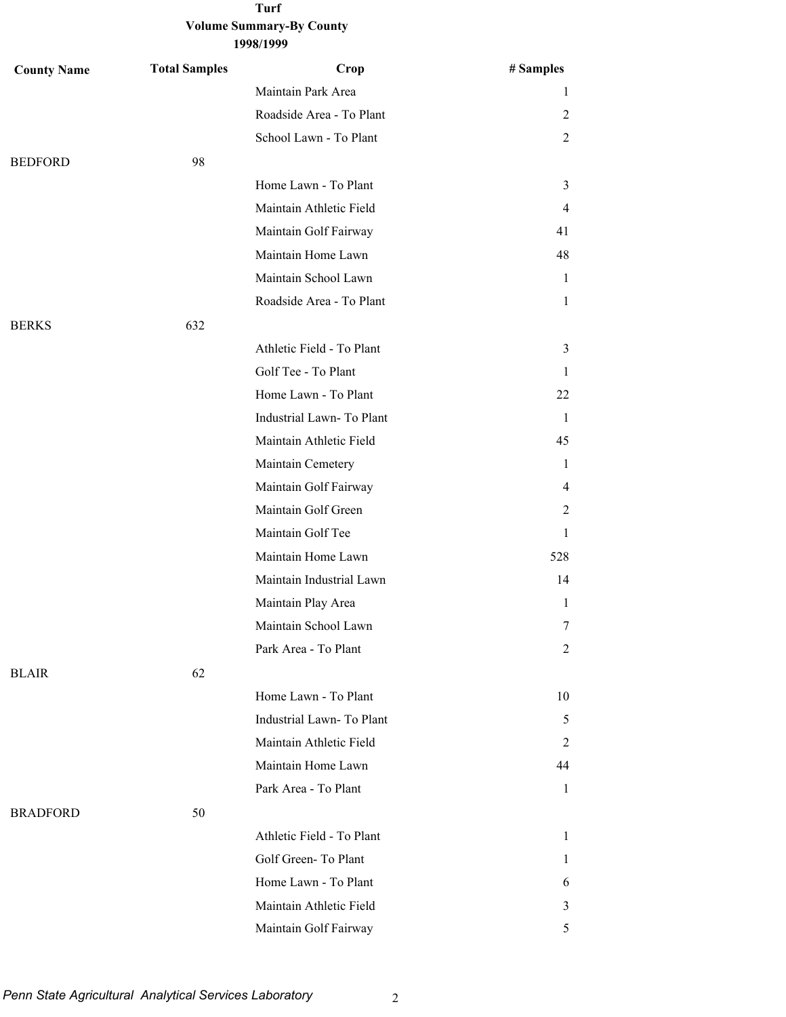| <b>County Name</b> | <b>Total Samples</b> | Crop                      | # Samples      |
|--------------------|----------------------|---------------------------|----------------|
|                    |                      | Maintain Park Area        | 1              |
|                    |                      | Roadside Area - To Plant  | 2              |
|                    |                      | School Lawn - To Plant    | $\overline{2}$ |
| <b>BEDFORD</b>     | 98                   |                           |                |
|                    |                      | Home Lawn - To Plant      | $\overline{3}$ |
|                    |                      | Maintain Athletic Field   | $\overline{4}$ |
|                    |                      | Maintain Golf Fairway     | 41             |
|                    |                      | Maintain Home Lawn        | 48             |
|                    |                      | Maintain School Lawn      | $\mathbf{1}$   |
|                    |                      | Roadside Area - To Plant  | 1              |
| <b>BERKS</b>       | 632                  |                           |                |
|                    |                      | Athletic Field - To Plant | $\mathfrak{Z}$ |
|                    |                      | Golf Tee - To Plant       | 1              |
|                    |                      | Home Lawn - To Plant      | 22             |
|                    |                      | Industrial Lawn-To Plant  | 1              |
|                    |                      | Maintain Athletic Field   | 45             |
|                    |                      | Maintain Cemetery         | 1              |
|                    |                      | Maintain Golf Fairway     | 4              |
|                    |                      | Maintain Golf Green       | 2              |
|                    |                      | Maintain Golf Tee         | 1              |
|                    |                      | Maintain Home Lawn        | 528            |
|                    |                      | Maintain Industrial Lawn  | 14             |
|                    |                      | Maintain Play Area        | $\mathbf{1}$   |
|                    |                      | Maintain School Lawn      | 7              |
|                    |                      | Park Area - To Plant      | $\overline{c}$ |
| <b>BLAIR</b>       | 62                   |                           |                |
|                    |                      | Home Lawn - To Plant      | 10             |
|                    |                      | Industrial Lawn-To Plant  | 5              |
|                    |                      | Maintain Athletic Field   | 2              |
|                    |                      | Maintain Home Lawn        | 44             |
|                    |                      | Park Area - To Plant      | 1              |
| <b>BRADFORD</b>    | 50                   |                           |                |
|                    |                      | Athletic Field - To Plant | 1              |
|                    |                      | Golf Green-To Plant       | 1              |
|                    |                      | Home Lawn - To Plant      | 6              |
|                    |                      | Maintain Athletic Field   | 3              |
|                    |                      | Maintain Golf Fairway     | 5              |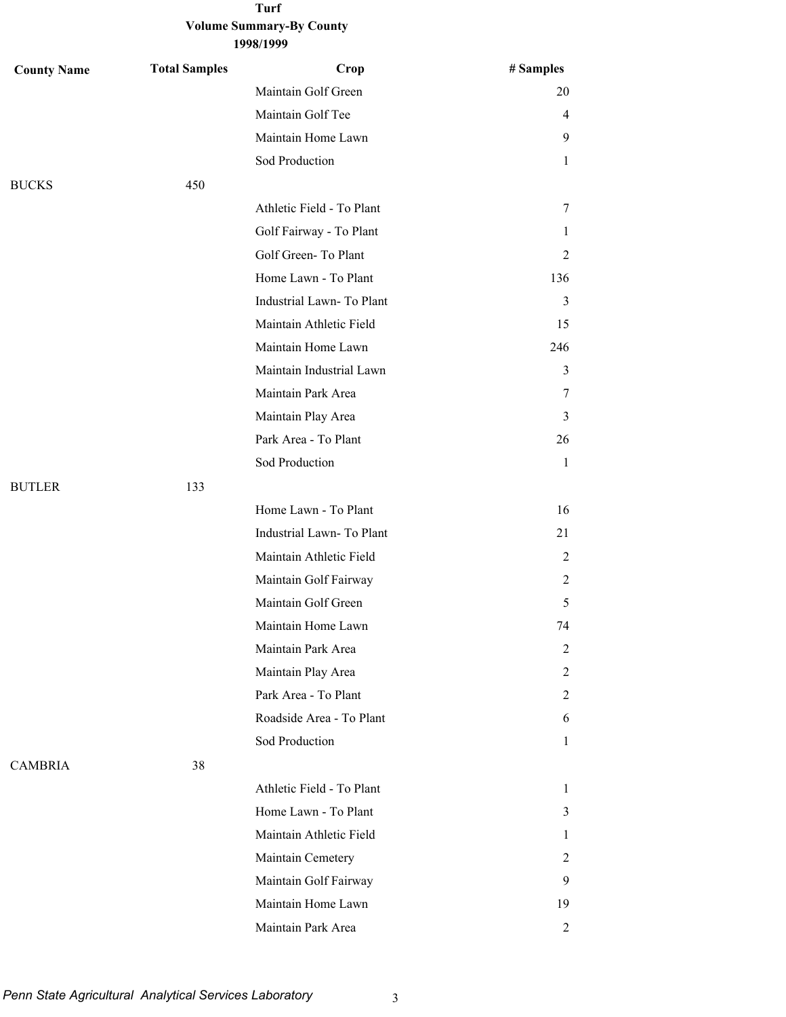| <b>County Name</b> | <b>Total Samples</b> | Crop                      | # Samples      |
|--------------------|----------------------|---------------------------|----------------|
|                    |                      | Maintain Golf Green       | 20             |
|                    |                      | Maintain Golf Tee         | $\overline{4}$ |
|                    |                      | Maintain Home Lawn        | 9              |
|                    |                      | Sod Production            | $\mathbf{1}$   |
| <b>BUCKS</b>       | 450                  |                           |                |
|                    |                      | Athletic Field - To Plant | 7              |
|                    |                      | Golf Fairway - To Plant   | 1              |
|                    |                      | Golf Green-To Plant       | 2              |
|                    |                      | Home Lawn - To Plant      | 136            |
|                    |                      | Industrial Lawn-To Plant  | 3              |
|                    |                      | Maintain Athletic Field   | 15             |
|                    |                      | Maintain Home Lawn        | 246            |
|                    |                      | Maintain Industrial Lawn  | $\mathfrak{Z}$ |
|                    |                      | Maintain Park Area        | 7              |
|                    |                      | Maintain Play Area        | 3              |
|                    |                      | Park Area - To Plant      | 26             |
|                    |                      | Sod Production            | $\mathbf{1}$   |
| <b>BUTLER</b>      | 133                  |                           |                |
|                    |                      | Home Lawn - To Plant      | 16             |
|                    |                      | Industrial Lawn-To Plant  | 21             |
|                    |                      | Maintain Athletic Field   | 2              |
|                    |                      | Maintain Golf Fairway     | 2              |
|                    |                      | Maintain Golf Green       | 5              |
|                    |                      | Maintain Home Lawn        | 74             |
|                    |                      | Maintain Park Area        | 2              |
|                    |                      | Maintain Play Area        | 2              |
|                    |                      | Park Area - To Plant      | $\overline{2}$ |
|                    |                      | Roadside Area - To Plant  | 6              |
|                    |                      | Sod Production            | 1              |
| <b>CAMBRIA</b>     | 38                   |                           |                |
|                    |                      | Athletic Field - To Plant | $\mathbf{1}$   |
|                    |                      | Home Lawn - To Plant      | 3              |
|                    |                      | Maintain Athletic Field   | 1              |
|                    |                      | Maintain Cemetery         | 2              |
|                    |                      | Maintain Golf Fairway     | 9              |
|                    |                      | Maintain Home Lawn        | 19             |
|                    |                      | Maintain Park Area        | $\overline{2}$ |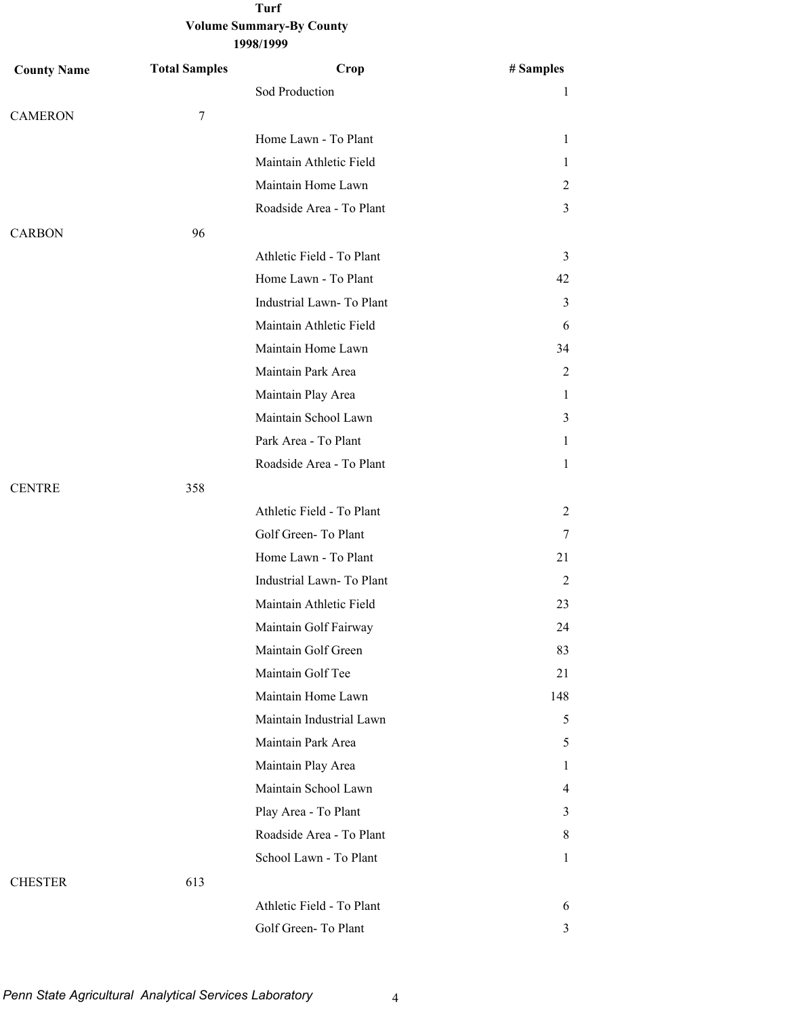| 1998/1999 |
|-----------|
|-----------|

| <b>County Name</b> | <b>Total Samples</b> | Crop                      | # Samples      |
|--------------------|----------------------|---------------------------|----------------|
|                    |                      | Sod Production            | 1              |
| <b>CAMERON</b>     | $\tau$               |                           |                |
|                    |                      | Home Lawn - To Plant      | 1              |
|                    |                      | Maintain Athletic Field   | 1              |
|                    |                      | Maintain Home Lawn        | $\overline{2}$ |
|                    |                      | Roadside Area - To Plant  | $\mathfrak{Z}$ |
| <b>CARBON</b>      | 96                   |                           |                |
|                    |                      | Athletic Field - To Plant | 3              |
|                    |                      | Home Lawn - To Plant      | 42             |
|                    |                      | Industrial Lawn-To Plant  | 3              |
|                    |                      | Maintain Athletic Field   | 6              |
|                    |                      | Maintain Home Lawn        | 34             |
|                    |                      | Maintain Park Area        | 2              |
|                    |                      | Maintain Play Area        | 1              |
|                    |                      | Maintain School Lawn      | 3              |
|                    |                      | Park Area - To Plant      | 1              |
|                    |                      | Roadside Area - To Plant  | $\mathbf{1}$   |
| <b>CENTRE</b>      | 358                  |                           |                |
|                    |                      | Athletic Field - To Plant | $\overline{2}$ |
|                    |                      | Golf Green-To Plant       | $\tau$         |
|                    |                      | Home Lawn - To Plant      | 21             |
|                    |                      | Industrial Lawn-To Plant  | 2              |
|                    |                      | Maintain Athletic Field   | 23             |
|                    |                      | Maintain Golf Fairway     | 24             |
|                    |                      | Maintain Golf Green       | 83             |
|                    |                      | Maintain Golf Tee         | 21             |
|                    |                      | Maintain Home Lawn        | 148            |
|                    |                      | Maintain Industrial Lawn  | 5              |
|                    |                      | Maintain Park Area        | 5              |
|                    |                      | Maintain Play Area        | 1              |
|                    |                      | Maintain School Lawn      | $\overline{4}$ |
|                    |                      | Play Area - To Plant      | 3              |
|                    |                      | Roadside Area - To Plant  | 8              |
|                    |                      | School Lawn - To Plant    | $\mathbf{1}$   |
| <b>CHESTER</b>     | 613                  |                           |                |
|                    |                      | Athletic Field - To Plant | 6              |
|                    |                      | Golf Green-To Plant       | 3              |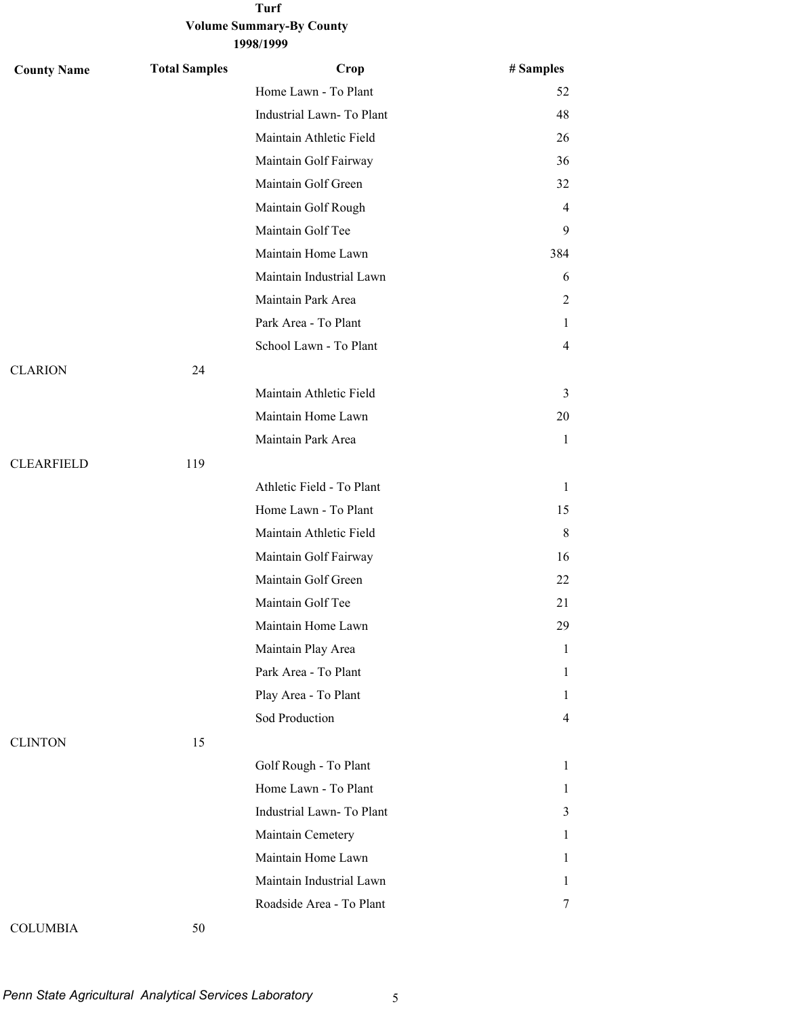| <b>County Name</b> | <b>Total Samples</b> | Crop                      | # Samples      |
|--------------------|----------------------|---------------------------|----------------|
|                    |                      | Home Lawn - To Plant      | 52             |
|                    |                      | Industrial Lawn-To Plant  | 48             |
|                    |                      | Maintain Athletic Field   | 26             |
|                    |                      | Maintain Golf Fairway     | 36             |
|                    |                      | Maintain Golf Green       | 32             |
|                    |                      | Maintain Golf Rough       | 4              |
|                    |                      | Maintain Golf Tee         | 9              |
|                    |                      | Maintain Home Lawn        | 384            |
|                    |                      | Maintain Industrial Lawn  | 6              |
|                    |                      | Maintain Park Area        | 2              |
|                    |                      | Park Area - To Plant      | 1              |
|                    |                      | School Lawn - To Plant    | 4              |
| <b>CLARION</b>     | 24                   |                           |                |
|                    |                      | Maintain Athletic Field   | 3              |
|                    |                      | Maintain Home Lawn        | 20             |
|                    |                      | Maintain Park Area        | 1              |
| <b>CLEARFIELD</b>  | 119                  |                           |                |
|                    |                      | Athletic Field - To Plant | $\mathbf{1}$   |
|                    |                      | Home Lawn - To Plant      | 15             |
|                    |                      | Maintain Athletic Field   | 8              |
|                    |                      | Maintain Golf Fairway     | 16             |
|                    |                      | Maintain Golf Green       | 22             |
|                    |                      | Maintain Golf Tee         | 21             |
|                    |                      | Maintain Home Lawn        | 29             |
|                    |                      | Maintain Play Area        | $\mathbf{1}$   |
|                    |                      | Park Area - To Plant      | 1              |
|                    |                      | Play Area - To Plant      | 1              |
|                    |                      | Sod Production            | $\overline{4}$ |
| <b>CLINTON</b>     | 15                   |                           |                |
|                    |                      | Golf Rough - To Plant     | $\mathbf{1}$   |
|                    |                      | Home Lawn - To Plant      | $\mathbf{1}$   |
|                    |                      | Industrial Lawn- To Plant | 3              |
|                    |                      | Maintain Cemetery         | 1              |
|                    |                      | Maintain Home Lawn        | 1              |
|                    |                      | Maintain Industrial Lawn  | 1              |
|                    |                      | Roadside Area - To Plant  | 7              |
|                    |                      |                           |                |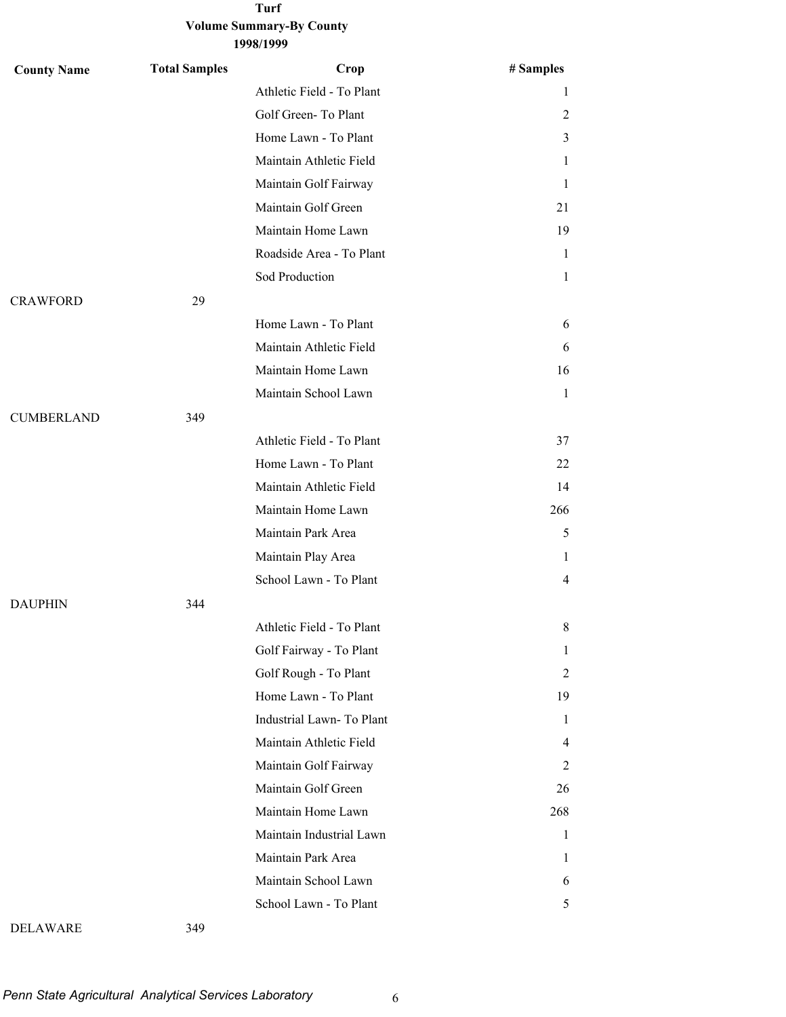| <b>County Name</b> | <b>Total Samples</b> | Crop                      | # Samples      |
|--------------------|----------------------|---------------------------|----------------|
|                    |                      | Athletic Field - To Plant | 1              |
|                    |                      | Golf Green-To Plant       | 2              |
|                    |                      | Home Lawn - To Plant      | 3              |
|                    |                      | Maintain Athletic Field   | 1              |
|                    |                      | Maintain Golf Fairway     | 1              |
|                    |                      | Maintain Golf Green       | 21             |
|                    |                      | Maintain Home Lawn        | 19             |
|                    |                      | Roadside Area - To Plant  | 1              |
|                    |                      | Sod Production            | 1              |
| <b>CRAWFORD</b>    | 29                   |                           |                |
|                    |                      | Home Lawn - To Plant      | 6              |
|                    |                      | Maintain Athletic Field   | 6              |
|                    |                      | Maintain Home Lawn        | 16             |
|                    |                      | Maintain School Lawn      | 1              |
| <b>CUMBERLAND</b>  | 349                  |                           |                |
|                    |                      | Athletic Field - To Plant | 37             |
|                    |                      | Home Lawn - To Plant      | 22             |
|                    |                      | Maintain Athletic Field   | 14             |
|                    |                      | Maintain Home Lawn        | 266            |
|                    |                      | Maintain Park Area        | 5              |
|                    |                      | Maintain Play Area        | 1              |
|                    |                      | School Lawn - To Plant    | $\overline{4}$ |
| <b>DAUPHIN</b>     | 344                  |                           |                |
|                    |                      | Athletic Field - To Plant | 8              |
|                    |                      | Golf Fairway - To Plant   | 1              |
|                    |                      | Golf Rough - To Plant     | 2              |
|                    |                      | Home Lawn - To Plant      | 19             |
|                    |                      | Industrial Lawn-To Plant  | 1              |
|                    |                      | Maintain Athletic Field   | 4              |
|                    |                      | Maintain Golf Fairway     | 2              |
|                    |                      | Maintain Golf Green       | 26             |
|                    |                      | Maintain Home Lawn        | 268            |
|                    |                      | Maintain Industrial Lawn  | 1              |
|                    |                      | Maintain Park Area        | 1              |
|                    |                      | Maintain School Lawn      | 6              |
|                    |                      | School Lawn - To Plant    | 5              |
|                    |                      |                           |                |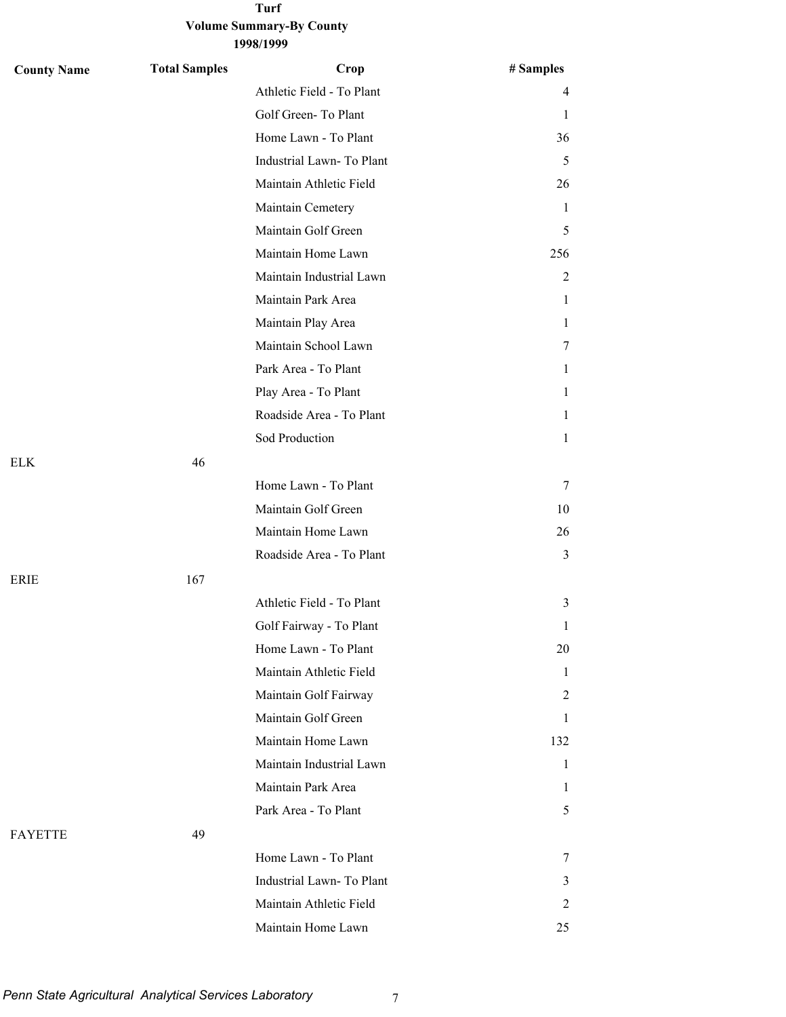| <b>County Name</b> | <b>Total Samples</b> | Crop                      | # Samples      |
|--------------------|----------------------|---------------------------|----------------|
|                    |                      | Athletic Field - To Plant | 4              |
|                    |                      | Golf Green-To Plant       | 1              |
|                    |                      | Home Lawn - To Plant      | 36             |
|                    |                      | Industrial Lawn-To Plant  | 5              |
|                    |                      | Maintain Athletic Field   | 26             |
|                    |                      | Maintain Cemetery         | 1              |
|                    |                      | Maintain Golf Green       | 5              |
|                    |                      | Maintain Home Lawn        | 256            |
|                    |                      | Maintain Industrial Lawn  | $\overline{c}$ |
|                    |                      | Maintain Park Area        | 1              |
|                    |                      | Maintain Play Area        | 1              |
|                    |                      | Maintain School Lawn      | 7              |
|                    |                      | Park Area - To Plant      | 1              |
|                    |                      | Play Area - To Plant      | 1              |
|                    |                      | Roadside Area - To Plant  | 1              |
|                    |                      | Sod Production            | 1              |
| <b>ELK</b>         | 46                   |                           |                |
|                    |                      | Home Lawn - To Plant      | 7              |
|                    |                      | Maintain Golf Green       | 10             |
|                    |                      | Maintain Home Lawn        | 26             |
|                    |                      | Roadside Area - To Plant  | 3              |
| <b>ERIE</b>        | 167                  |                           |                |
|                    |                      | Athletic Field - To Plant | 3              |
|                    |                      | Golf Fairway - To Plant   | 1              |
|                    |                      | Home Lawn - To Plant      | 20             |
|                    |                      | Maintain Athletic Field   | $\mathbf{1}$   |
|                    |                      | Maintain Golf Fairway     | 2              |
|                    |                      | Maintain Golf Green       | 1              |
|                    |                      | Maintain Home Lawn        | 132            |
|                    |                      | Maintain Industrial Lawn  | $\mathbf{1}$   |
|                    |                      | Maintain Park Area        | 1              |
|                    |                      | Park Area - To Plant      | 5              |
| <b>FAYETTE</b>     | 49                   |                           |                |
|                    |                      | Home Lawn - To Plant      | 7              |
|                    |                      | Industrial Lawn-To Plant  | 3              |
|                    |                      | Maintain Athletic Field   | 2              |
|                    |                      | Maintain Home Lawn        | 25             |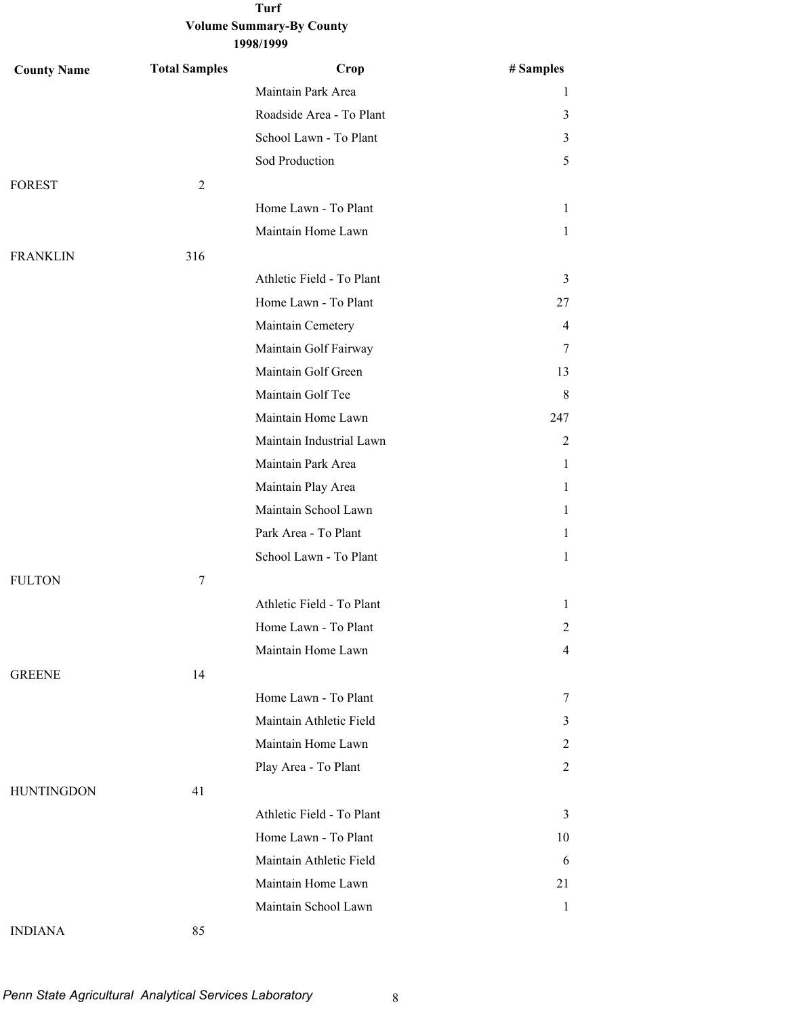| <b>County Name</b> | <b>Total Samples</b> | Crop                      | # Samples      |
|--------------------|----------------------|---------------------------|----------------|
|                    |                      | Maintain Park Area        | 1              |
|                    |                      | Roadside Area - To Plant  | 3              |
|                    |                      | School Lawn - To Plant    | $\mathfrak{Z}$ |
|                    |                      | Sod Production            | 5              |
| <b>FOREST</b>      | 2                    |                           |                |
|                    |                      | Home Lawn - To Plant      | $\mathbf{1}$   |
|                    |                      | Maintain Home Lawn        | $\mathbf{1}$   |
| <b>FRANKLIN</b>    | 316                  |                           |                |
|                    |                      | Athletic Field - To Plant | 3              |
|                    |                      | Home Lawn - To Plant      | 27             |
|                    |                      | Maintain Cemetery         | 4              |
|                    |                      | Maintain Golf Fairway     | 7              |
|                    |                      | Maintain Golf Green       | 13             |
|                    |                      | Maintain Golf Tee         | 8              |
|                    |                      | Maintain Home Lawn        | 247            |
|                    |                      | Maintain Industrial Lawn  | 2              |
|                    |                      | Maintain Park Area        | $\mathbf{1}$   |
|                    |                      | Maintain Play Area        | $\mathbf{1}$   |
|                    |                      | Maintain School Lawn      | $\mathbf{1}$   |
|                    |                      | Park Area - To Plant      | $\mathbf{1}$   |
|                    |                      | School Lawn - To Plant    | $\mathbf{1}$   |
| <b>FULTON</b>      | $\tau$               |                           |                |
|                    |                      | Athletic Field - To Plant | $\mathbf{1}$   |
|                    |                      | Home Lawn - To Plant      | $\overline{2}$ |
|                    |                      | Maintain Home Lawn        | $\overline{4}$ |
| <b>GREENE</b>      | 14                   |                           |                |
|                    |                      | Home Lawn - To Plant      | 7              |
|                    |                      | Maintain Athletic Field   | 3              |
|                    |                      | Maintain Home Lawn        | 2              |
|                    |                      | Play Area - To Plant      | 2              |
| <b>HUNTINGDON</b>  | 41                   |                           |                |
|                    |                      | Athletic Field - To Plant | 3              |
|                    |                      | Home Lawn - To Plant      | 10             |
|                    |                      | Maintain Athletic Field   | 6              |
|                    |                      | Maintain Home Lawn        | 21             |
|                    |                      | Maintain School Lawn      | -1             |
| <b>INDIANA</b>     | 85                   |                           |                |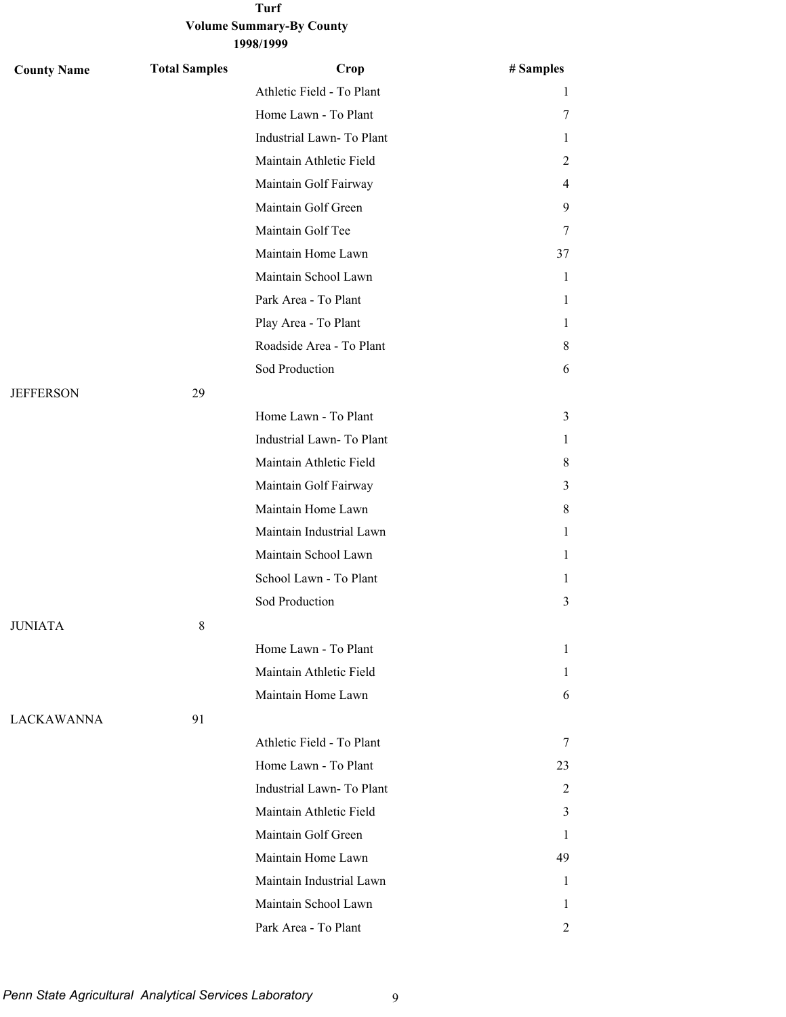| <b>County Name</b> | <b>Total Samples</b> | Crop                      | # Samples    |
|--------------------|----------------------|---------------------------|--------------|
|                    |                      | Athletic Field - To Plant | 1            |
|                    |                      | Home Lawn - To Plant      | 7            |
|                    |                      | Industrial Lawn- To Plant | 1            |
|                    |                      | Maintain Athletic Field   | 2            |
|                    |                      | Maintain Golf Fairway     | 4            |
|                    |                      | Maintain Golf Green       | 9.           |
|                    |                      | Maintain Golf Tee         | 7            |
|                    |                      | Maintain Home Lawn        | 37           |
|                    |                      | Maintain School Lawn      | $\mathbf{1}$ |
|                    |                      | Park Area - To Plant      | 1            |
|                    |                      | Play Area - To Plant      | 1            |
|                    |                      | Roadside Area - To Plant  | 8            |
|                    |                      | Sod Production            | 6            |
| <b>JEFFERSON</b>   | 29                   |                           |              |
|                    |                      | Home Lawn - To Plant      | 3            |
|                    |                      | Industrial Lawn-To Plant  | 1            |
|                    |                      | Maintain Athletic Field   | 8            |
|                    |                      | Maintain Golf Fairway     | 3            |
|                    |                      | Maintain Home Lawn        | 8            |
|                    |                      | Maintain Industrial Lawn  | 1            |
|                    |                      | Maintain School Lawn      | 1            |
|                    |                      | School Lawn - To Plant    | 1            |
|                    |                      | Sod Production            | 3            |
| <b>JUNIATA</b>     | $\,8\,$              |                           |              |
|                    |                      | Home Lawn - To Plant      | 1            |
|                    |                      | Maintain Athletic Field   | 1            |
|                    |                      | Maintain Home Lawn        | 6            |
| LACKAWANNA         | 91                   |                           |              |
|                    |                      | Athletic Field - To Plant | 7            |
|                    |                      | Home Lawn - To Plant      | 23           |
|                    |                      | Industrial Lawn-To Plant  | 2            |
|                    |                      | Maintain Athletic Field   | 3            |
|                    |                      | Maintain Golf Green       | 1            |
|                    |                      | Maintain Home Lawn        | 49           |
|                    |                      | Maintain Industrial Lawn  | 1            |
|                    |                      | Maintain School Lawn      | 1            |
|                    |                      | Park Area - To Plant      | 2            |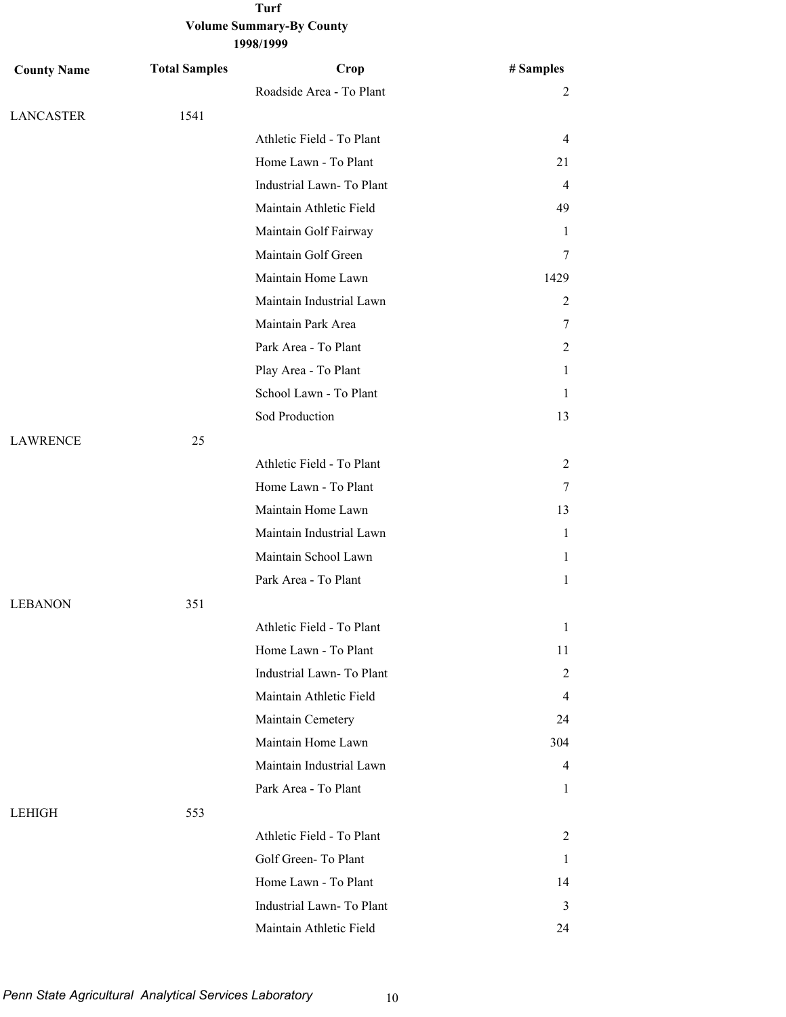| <b>County Name</b> | <b>Total Samples</b> | Crop                      | # Samples      |
|--------------------|----------------------|---------------------------|----------------|
|                    |                      | Roadside Area - To Plant  | $\overline{c}$ |
| <b>LANCASTER</b>   | 1541                 |                           |                |
|                    |                      | Athletic Field - To Plant | 4              |
|                    |                      | Home Lawn - To Plant      | 21             |
|                    |                      | Industrial Lawn- To Plant | 4              |
|                    |                      | Maintain Athletic Field   | 49             |
|                    |                      | Maintain Golf Fairway     | 1              |
|                    |                      | Maintain Golf Green       | 7              |
|                    |                      | Maintain Home Lawn        | 1429           |
|                    |                      | Maintain Industrial Lawn  | 2              |
|                    |                      | Maintain Park Area        | 7              |
|                    |                      | Park Area - To Plant      | 2              |
|                    |                      | Play Area - To Plant      | 1              |
|                    |                      | School Lawn - To Plant    | 1              |
|                    |                      | Sod Production            | 13             |
| <b>LAWRENCE</b>    | 25                   |                           |                |
|                    |                      | Athletic Field - To Plant | 2              |
|                    |                      | Home Lawn - To Plant      | 7              |
|                    |                      | Maintain Home Lawn        | 13             |
|                    |                      | Maintain Industrial Lawn  | $\mathbf{1}$   |
|                    |                      | Maintain School Lawn      | 1              |
|                    |                      | Park Area - To Plant      | $\mathbf{1}$   |
| <b>LEBANON</b>     | 351                  |                           |                |
|                    |                      | Athletic Field - To Plant | 1              |
|                    |                      | Home Lawn - To Plant      | 11             |
|                    |                      | Industrial Lawn-To Plant  | 2              |
|                    |                      | Maintain Athletic Field   | $\overline{4}$ |
|                    |                      | Maintain Cemetery         | 24             |
|                    |                      | Maintain Home Lawn        | 304            |
|                    |                      | Maintain Industrial Lawn  | 4              |
|                    |                      | Park Area - To Plant      | $\mathbf{1}$   |
| <b>LEHIGH</b>      | 553                  |                           |                |
|                    |                      | Athletic Field - To Plant | 2              |
|                    |                      | Golf Green-To Plant       | 1              |
|                    |                      | Home Lawn - To Plant      | 14             |
|                    |                      | Industrial Lawn-To Plant  | 3              |
|                    |                      | Maintain Athletic Field   | 24             |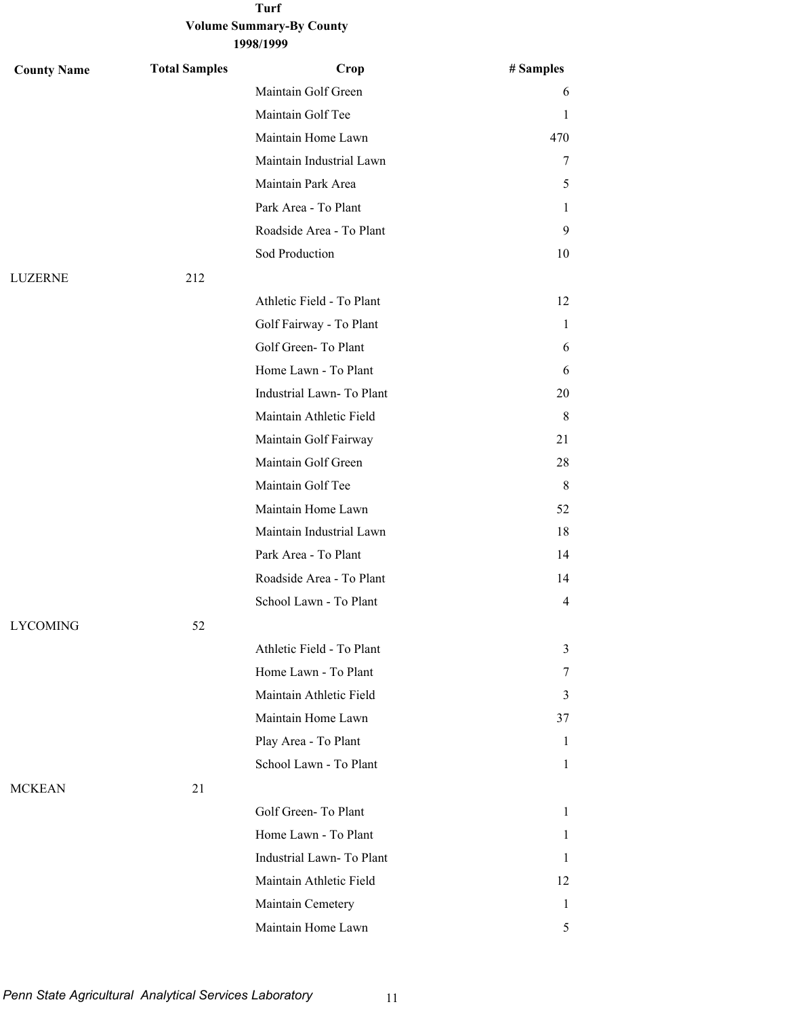**1998/1999**

| <b>County Name</b> | <b>Total Samples</b> | Crop                      | # Samples    |
|--------------------|----------------------|---------------------------|--------------|
|                    |                      | Maintain Golf Green       | 6            |
|                    |                      | Maintain Golf Tee         | 1            |
|                    |                      | Maintain Home Lawn        | 470          |
|                    |                      | Maintain Industrial Lawn  | 7            |
|                    |                      | Maintain Park Area        | 5            |
|                    |                      | Park Area - To Plant      | 1            |
|                    |                      | Roadside Area - To Plant  | 9            |
|                    |                      | Sod Production            | 10           |
| LUZERNE            | 212                  |                           |              |
|                    |                      | Athletic Field - To Plant | 12           |
|                    |                      | Golf Fairway - To Plant   | 1            |
|                    |                      | Golf Green-To Plant       | 6            |
|                    |                      | Home Lawn - To Plant      | 6            |
|                    |                      | Industrial Lawn-To Plant  | 20           |
|                    |                      | Maintain Athletic Field   | 8            |
|                    |                      | Maintain Golf Fairway     | 21           |
|                    |                      | Maintain Golf Green       | 28           |
|                    |                      | Maintain Golf Tee         | 8            |
|                    |                      | Maintain Home Lawn        | 52           |
|                    |                      | Maintain Industrial Lawn  | 18           |
|                    |                      | Park Area - To Plant      | 14           |
|                    |                      | Roadside Area - To Plant  | 14           |
|                    |                      | School Lawn - To Plant    | 4            |
| <b>LYCOMING</b>    | 52                   |                           |              |
|                    |                      | Athletic Field - To Plant | 3            |
|                    |                      | Home Lawn - To Plant      | 7            |
|                    |                      | Maintain Athletic Field   | 3            |
|                    |                      | Maintain Home Lawn        | 37           |
|                    |                      | Play Area - To Plant      | 1            |
|                    |                      | School Lawn - To Plant    | $\mathbf{1}$ |
| <b>MCKEAN</b>      | 21                   |                           |              |
|                    |                      | Golf Green-To Plant       | $\mathbf{1}$ |
|                    |                      | Home Lawn - To Plant      | 1            |
|                    |                      | Industrial Lawn- To Plant | $\mathbf{1}$ |
|                    |                      | Maintain Athletic Field   | 12           |
|                    |                      | Maintain Cemetery         | 1            |
|                    |                      | Maintain Home Lawn        | 5            |

*Penn State Agricultural Analytical Services Laboratory* 11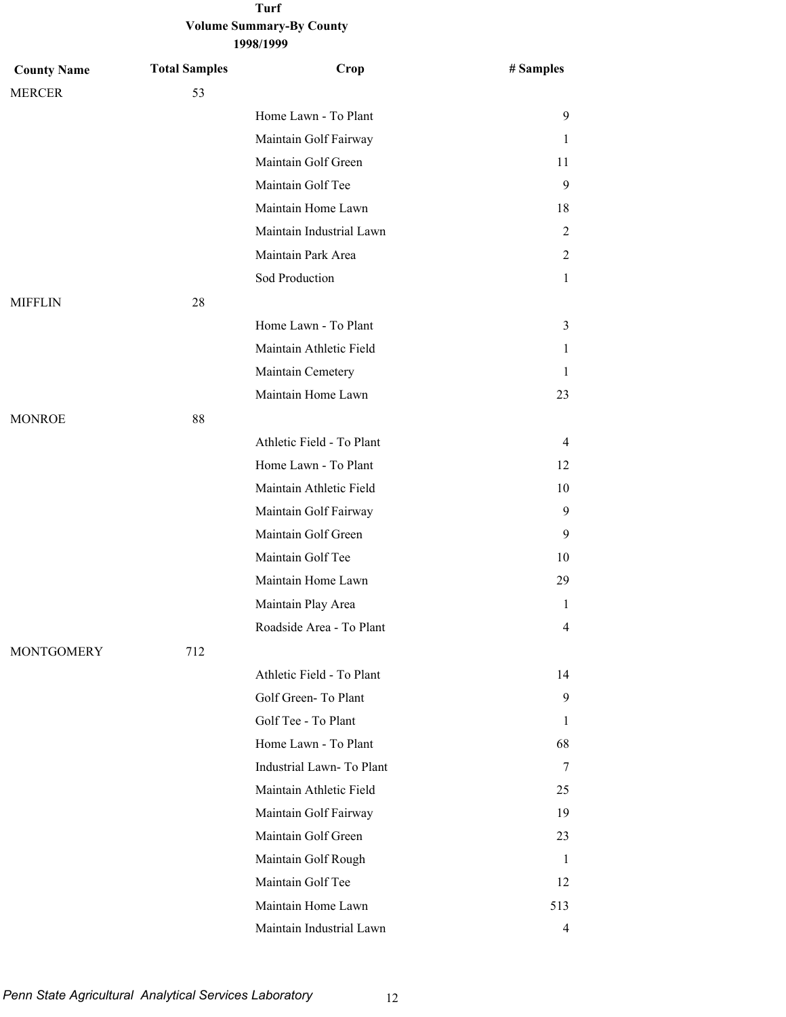| <b>County Name</b> | <b>Total Samples</b> | Crop                      | # Samples      |
|--------------------|----------------------|---------------------------|----------------|
| <b>MERCER</b>      | 53                   |                           |                |
|                    |                      | Home Lawn - To Plant      | 9              |
|                    |                      | Maintain Golf Fairway     | 1              |
|                    |                      | Maintain Golf Green       | 11             |
|                    |                      | Maintain Golf Tee         | 9              |
|                    |                      | Maintain Home Lawn        | 18             |
|                    |                      | Maintain Industrial Lawn  | 2              |
|                    |                      | Maintain Park Area        | 2              |
|                    |                      | Sod Production            | 1              |
| <b>MIFFLIN</b>     | 28                   |                           |                |
|                    |                      | Home Lawn - To Plant      | 3              |
|                    |                      | Maintain Athletic Field   | 1              |
|                    |                      | Maintain Cemetery         | 1              |
|                    |                      | Maintain Home Lawn        | 23             |
| <b>MONROE</b>      | 88                   |                           |                |
|                    |                      | Athletic Field - To Plant | 4              |
|                    |                      | Home Lawn - To Plant      | 12             |
|                    |                      | Maintain Athletic Field   | 10             |
|                    |                      | Maintain Golf Fairway     | 9              |
|                    |                      | Maintain Golf Green       | 9              |
|                    |                      | Maintain Golf Tee         | 10             |
|                    |                      | Maintain Home Lawn        | 29             |
|                    |                      | Maintain Play Area        | 1              |
|                    |                      | Roadside Area - To Plant  | 4              |
| <b>MONTGOMERY</b>  | 712                  |                           |                |
|                    |                      | Athletic Field - To Plant | 14             |
|                    |                      | Golf Green-To Plant       | 9              |
|                    |                      | Golf Tee - To Plant       | 1              |
|                    |                      | Home Lawn - To Plant      | 68             |
|                    |                      | Industrial Lawn-To Plant  | 7              |
|                    |                      | Maintain Athletic Field   | 25             |
|                    |                      | Maintain Golf Fairway     | 19             |
|                    |                      | Maintain Golf Green       | 23             |
|                    |                      | Maintain Golf Rough       | 1              |
|                    |                      | Maintain Golf Tee         | 12             |
|                    |                      | Maintain Home Lawn        | 513            |
|                    |                      | Maintain Industrial Lawn  | $\overline{4}$ |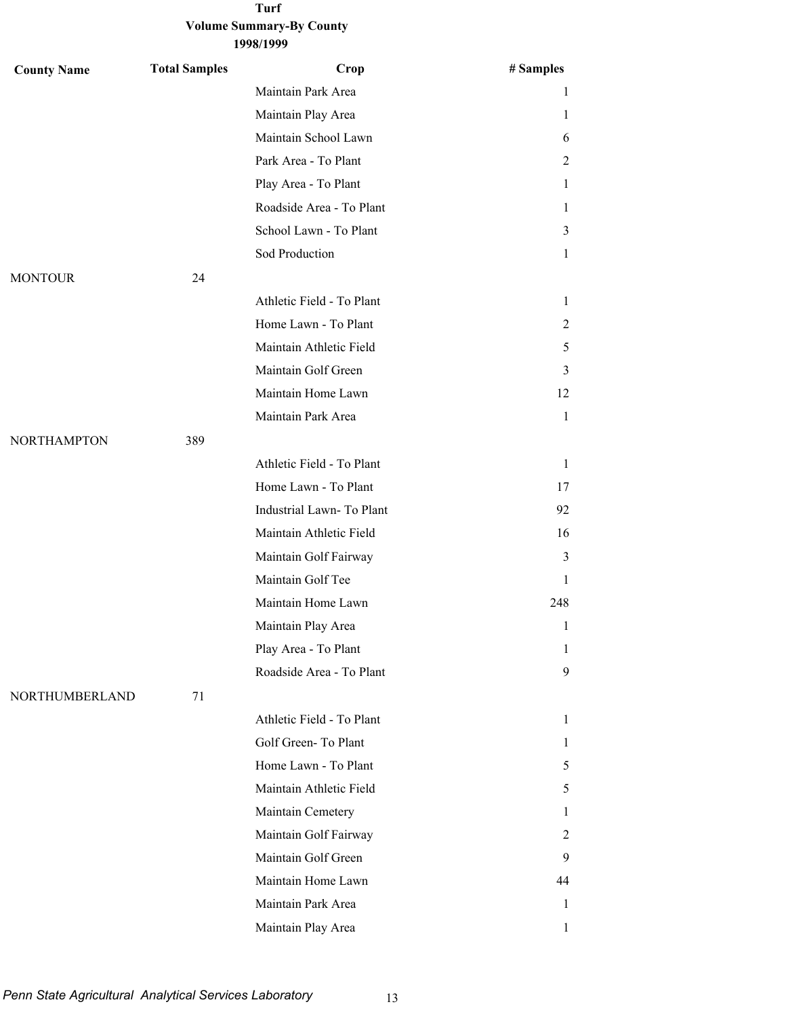| <b>County Name</b> | <b>Total Samples</b> | Crop                      | # Samples      |
|--------------------|----------------------|---------------------------|----------------|
|                    |                      | Maintain Park Area        | 1              |
|                    |                      | Maintain Play Area        | 1              |
|                    |                      | Maintain School Lawn      | 6              |
|                    |                      | Park Area - To Plant      | 2              |
|                    |                      | Play Area - To Plant      | $\mathbf{1}$   |
|                    |                      | Roadside Area - To Plant  | 1              |
|                    |                      | School Lawn - To Plant    | 3              |
|                    |                      | Sod Production            | $\mathbf{1}$   |
| <b>MONTOUR</b>     | 24                   |                           |                |
|                    |                      | Athletic Field - To Plant | 1              |
|                    |                      | Home Lawn - To Plant      | $\overline{2}$ |
|                    |                      | Maintain Athletic Field   | 5              |
|                    |                      | Maintain Golf Green       | 3              |
|                    |                      | Maintain Home Lawn        | 12             |
|                    |                      | Maintain Park Area        | $\mathbf{1}$   |
| <b>NORTHAMPTON</b> | 389                  |                           |                |
|                    |                      | Athletic Field - To Plant | $\mathbf{1}$   |
|                    |                      | Home Lawn - To Plant      | 17             |
|                    |                      | Industrial Lawn- To Plant | 92             |
|                    |                      | Maintain Athletic Field   | 16             |
|                    |                      | Maintain Golf Fairway     | 3              |
|                    |                      | Maintain Golf Tee         | 1              |
|                    |                      | Maintain Home Lawn        | 248            |
|                    |                      | Maintain Play Area        | 1              |
|                    |                      | Play Area - To Plant      | 1              |
|                    |                      | Roadside Area - To Plant  | 9              |
| NORTHUMBERLAND     | 71                   |                           |                |
|                    |                      | Athletic Field - To Plant | $\mathbf{1}$   |
|                    |                      | Golf Green-To Plant       | 1              |
|                    |                      | Home Lawn - To Plant      | 5              |
|                    |                      | Maintain Athletic Field   | 5              |
|                    |                      | Maintain Cemetery         | 1              |
|                    |                      | Maintain Golf Fairway     | 2              |
|                    |                      | Maintain Golf Green       | 9              |
|                    |                      | Maintain Home Lawn        | 44             |
|                    |                      | Maintain Park Area        | 1              |
|                    |                      | Maintain Play Area        | $\mathbf{1}$   |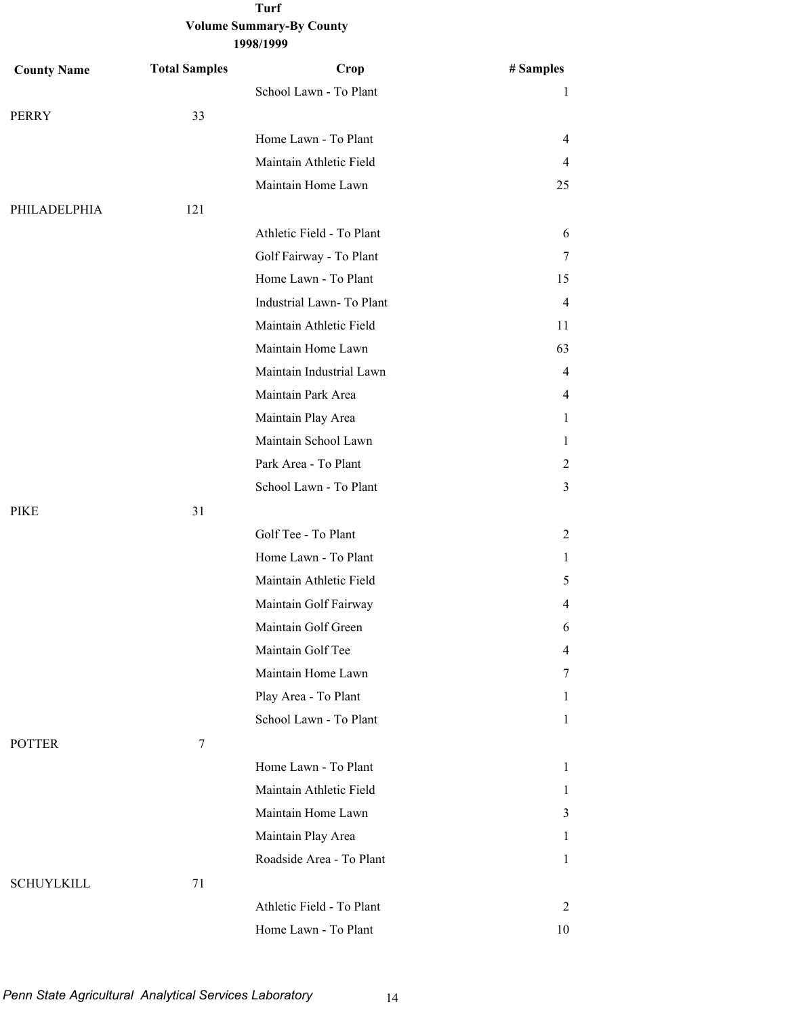| <b>County Name</b> | <b>Total Samples</b> | Crop                      | # Samples      |
|--------------------|----------------------|---------------------------|----------------|
|                    |                      | School Lawn - To Plant    | 1              |
| PERRY              | 33                   |                           |                |
|                    |                      | Home Lawn - To Plant      | 4              |
|                    |                      | Maintain Athletic Field   | 4              |
|                    |                      | Maintain Home Lawn        | 25             |
| PHILADELPHIA       | 121                  |                           |                |
|                    |                      | Athletic Field - To Plant | 6              |
|                    |                      | Golf Fairway - To Plant   | 7              |
|                    |                      | Home Lawn - To Plant      | 15             |
|                    |                      | Industrial Lawn-To Plant  | $\overline{4}$ |
|                    |                      | Maintain Athletic Field   | 11             |
|                    |                      | Maintain Home Lawn        | 63             |
|                    |                      | Maintain Industrial Lawn  | 4              |
|                    |                      | Maintain Park Area        | 4              |
|                    |                      | Maintain Play Area        | 1              |
|                    |                      | Maintain School Lawn      | 1              |
|                    |                      | Park Area - To Plant      | 2              |
|                    |                      | School Lawn - To Plant    | 3              |
| PIKE               | 31                   |                           |                |
|                    |                      | Golf Tee - To Plant       | 2              |
|                    |                      | Home Lawn - To Plant      | 1              |
|                    |                      | Maintain Athletic Field   | 5              |
|                    |                      | Maintain Golf Fairway     | 4              |
|                    |                      | Maintain Golf Green       | 6              |
|                    |                      | Maintain Golf Tee         | 4              |
|                    |                      | Maintain Home Lawn        | 7              |
|                    |                      | Play Area - To Plant      | 1              |
|                    |                      | School Lawn - To Plant    | 1              |
| <b>POTTER</b>      | $\tau$               |                           |                |
|                    |                      | Home Lawn - To Plant      | 1              |
|                    |                      | Maintain Athletic Field   | 1              |
|                    |                      | Maintain Home Lawn        | 3              |
|                    |                      | Maintain Play Area        | 1              |
|                    |                      | Roadside Area - To Plant  | 1              |
| <b>SCHUYLKILL</b>  | 71                   |                           |                |
|                    |                      | Athletic Field - To Plant | 2              |
|                    |                      | Home Lawn - To Plant      | 10             |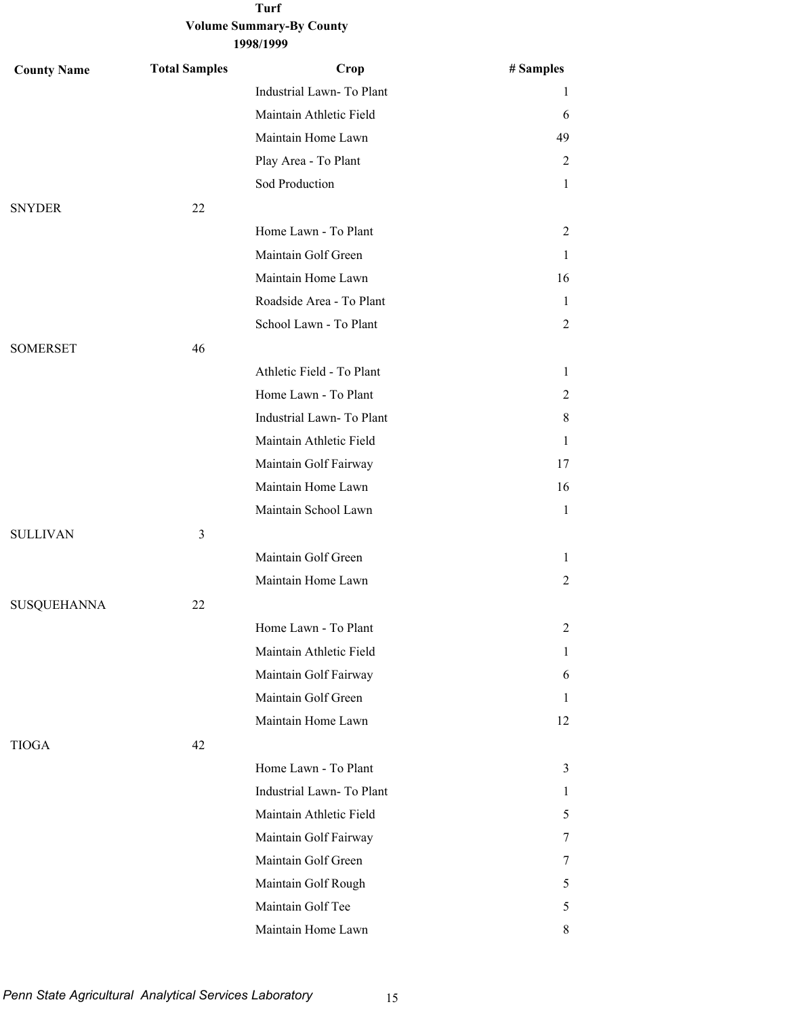| <b>County Name</b> | <b>Total Samples</b> | Crop                      | # Samples      |
|--------------------|----------------------|---------------------------|----------------|
|                    |                      | Industrial Lawn- To Plant | 1              |
|                    |                      | Maintain Athletic Field   | 6              |
|                    |                      | Maintain Home Lawn        | 49             |
|                    |                      | Play Area - To Plant      | 2              |
|                    |                      | Sod Production            | $\mathbf{1}$   |
| <b>SNYDER</b>      | 22                   |                           |                |
|                    |                      | Home Lawn - To Plant      | 2              |
|                    |                      | Maintain Golf Green       | 1              |
|                    |                      | Maintain Home Lawn        | 16             |
|                    |                      | Roadside Area - To Plant  | 1              |
|                    |                      | School Lawn - To Plant    | $\overline{2}$ |
| <b>SOMERSET</b>    | 46                   |                           |                |
|                    |                      | Athletic Field - To Plant | $\mathbf{1}$   |
|                    |                      | Home Lawn - To Plant      | 2              |
|                    |                      | Industrial Lawn-To Plant  | 8              |
|                    |                      | Maintain Athletic Field   | $\mathbf{1}$   |
|                    |                      | Maintain Golf Fairway     | 17             |
|                    |                      | Maintain Home Lawn        | 16             |
|                    |                      | Maintain School Lawn      | $\mathbf{1}$   |
| <b>SULLIVAN</b>    | 3                    |                           |                |
|                    |                      | Maintain Golf Green       | 1              |
|                    |                      | Maintain Home Lawn        | $\overline{2}$ |
| <b>SUSQUEHANNA</b> | 22                   |                           |                |
|                    |                      | Home Lawn - To Plant      | 2              |
|                    |                      | Maintain Athletic Field   | $\mathbf{1}$   |
|                    |                      | Maintain Golf Fairway     | 6              |
|                    |                      | Maintain Golf Green       | 1              |
|                    |                      | Maintain Home Lawn        | 12             |
| <b>TIOGA</b>       | 42                   |                           |                |
|                    |                      | Home Lawn - To Plant      | $\mathfrak{Z}$ |
|                    |                      | Industrial Lawn-To Plant  | 1              |
|                    |                      | Maintain Athletic Field   | 5              |
|                    |                      | Maintain Golf Fairway     | 7              |
|                    |                      | Maintain Golf Green       | 7              |
|                    |                      | Maintain Golf Rough       | 5              |
|                    |                      | Maintain Golf Tee         | 5              |
|                    |                      | Maintain Home Lawn        | 8              |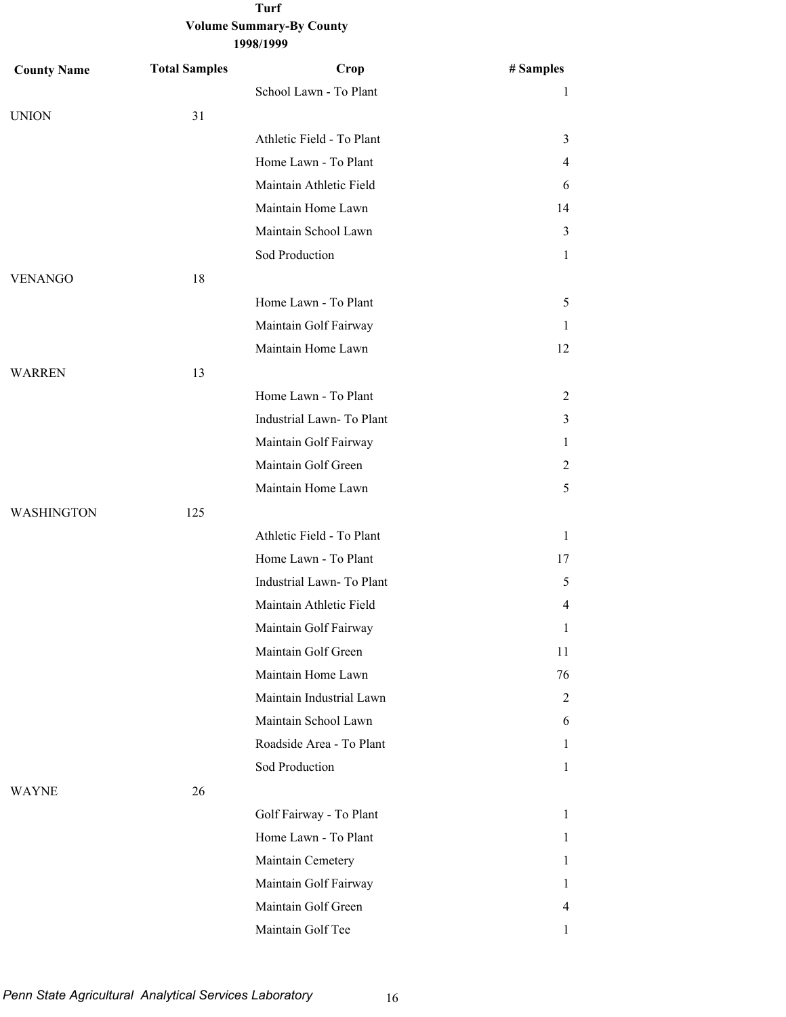| <b>County Name</b> | <b>Total Samples</b> | Crop                      | # Samples      |
|--------------------|----------------------|---------------------------|----------------|
|                    |                      | School Lawn - To Plant    | $\mathbf{1}$   |
| <b>UNION</b>       | 31                   |                           |                |
|                    |                      | Athletic Field - To Plant | 3              |
|                    |                      | Home Lawn - To Plant      | 4              |
|                    |                      | Maintain Athletic Field   | 6              |
|                    |                      | Maintain Home Lawn        | 14             |
|                    |                      | Maintain School Lawn      | 3              |
|                    |                      | Sod Production            | $\mathbf{1}$   |
| <b>VENANGO</b>     | 18                   |                           |                |
|                    |                      | Home Lawn - To Plant      | 5              |
|                    |                      | Maintain Golf Fairway     | 1              |
|                    |                      | Maintain Home Lawn        | 12             |
| <b>WARREN</b>      | 13                   |                           |                |
|                    |                      | Home Lawn - To Plant      | 2              |
|                    |                      | Industrial Lawn- To Plant | 3              |
|                    |                      | Maintain Golf Fairway     | $\mathbf{1}$   |
|                    |                      | Maintain Golf Green       | 2              |
|                    |                      | Maintain Home Lawn        | 5              |
| WASHINGTON         | 125                  |                           |                |
|                    |                      | Athletic Field - To Plant | $\mathbf{1}$   |
|                    |                      | Home Lawn - To Plant      | 17             |
|                    |                      | Industrial Lawn-To Plant  | 5              |
|                    |                      | Maintain Athletic Field   | $\overline{4}$ |
|                    |                      | Maintain Golf Fairway     | 1              |
|                    |                      | Maintain Golf Green       | 11             |
|                    |                      | Maintain Home Lawn        | 76             |
|                    |                      | Maintain Industrial Lawn  | 2              |
|                    |                      | Maintain School Lawn      | 6              |
|                    |                      | Roadside Area - To Plant  | $\mathbf{1}$   |
|                    |                      | Sod Production            | 1              |
| <b>WAYNE</b>       | 26                   |                           |                |
|                    |                      | Golf Fairway - To Plant   | $\mathbf{1}$   |
|                    |                      | Home Lawn - To Plant      | $\mathbf{1}$   |
|                    |                      | Maintain Cemetery         | 1              |
|                    |                      | Maintain Golf Fairway     | 1              |
|                    |                      | Maintain Golf Green       | 4              |
|                    |                      | Maintain Golf Tee         | $\mathbf{1}$   |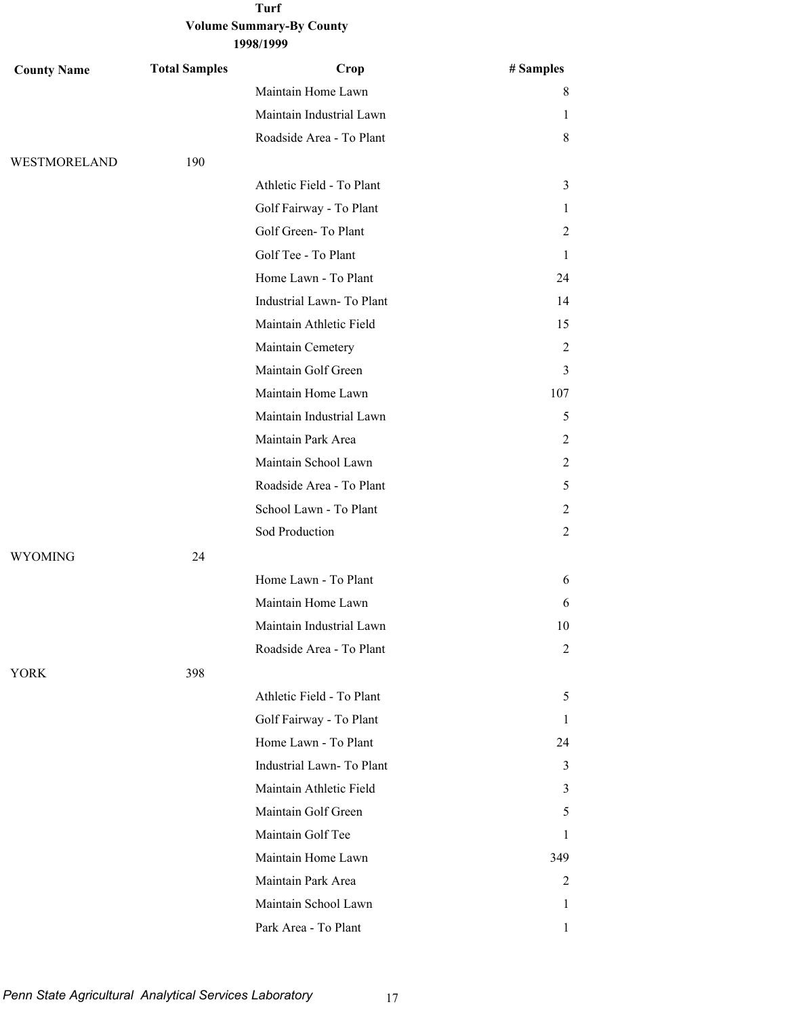| <b>County Name</b> | <b>Total Samples</b> | Crop                      | # Samples      |
|--------------------|----------------------|---------------------------|----------------|
|                    |                      | Maintain Home Lawn        | 8              |
|                    |                      | Maintain Industrial Lawn  | 1              |
|                    |                      | Roadside Area - To Plant  | 8              |
| WESTMORELAND       | 190                  |                           |                |
|                    |                      | Athletic Field - To Plant | 3              |
|                    |                      | Golf Fairway - To Plant   | 1              |
|                    |                      | Golf Green-To Plant       | 2              |
|                    |                      | Golf Tee - To Plant       | 1              |
|                    |                      | Home Lawn - To Plant      | 24             |
|                    |                      | Industrial Lawn-To Plant  | 14             |
|                    |                      | Maintain Athletic Field   | 15             |
|                    |                      | Maintain Cemetery         | 2              |
|                    |                      | Maintain Golf Green       | 3              |
|                    |                      | Maintain Home Lawn        | 107            |
|                    |                      | Maintain Industrial Lawn  | 5              |
|                    |                      | Maintain Park Area        | 2              |
|                    |                      | Maintain School Lawn      | 2              |
|                    |                      | Roadside Area - To Plant  | 5              |
|                    |                      | School Lawn - To Plant    | 2              |
|                    |                      | Sod Production            | 2              |
| <b>WYOMING</b>     | 24                   |                           |                |
|                    |                      | Home Lawn - To Plant      | 6              |
|                    |                      | Maintain Home Lawn        | 6              |
|                    |                      | Maintain Industrial Lawn  | 10             |
|                    |                      | Roadside Area - To Plant  | $\overline{c}$ |
| <b>YORK</b>        | 398                  |                           |                |
|                    |                      | Athletic Field - To Plant | 5              |
|                    |                      | Golf Fairway - To Plant   | 1              |
|                    |                      | Home Lawn - To Plant      | 24             |
|                    |                      | Industrial Lawn- To Plant | 3              |
|                    |                      | Maintain Athletic Field   | 3              |
|                    |                      | Maintain Golf Green       | 5              |
|                    |                      | Maintain Golf Tee         | L              |
|                    |                      | Maintain Home Lawn        | 349            |
|                    |                      | Maintain Park Area        | 2              |
|                    |                      | Maintain School Lawn      | 1              |
|                    |                      | Park Area - To Plant      | 1              |